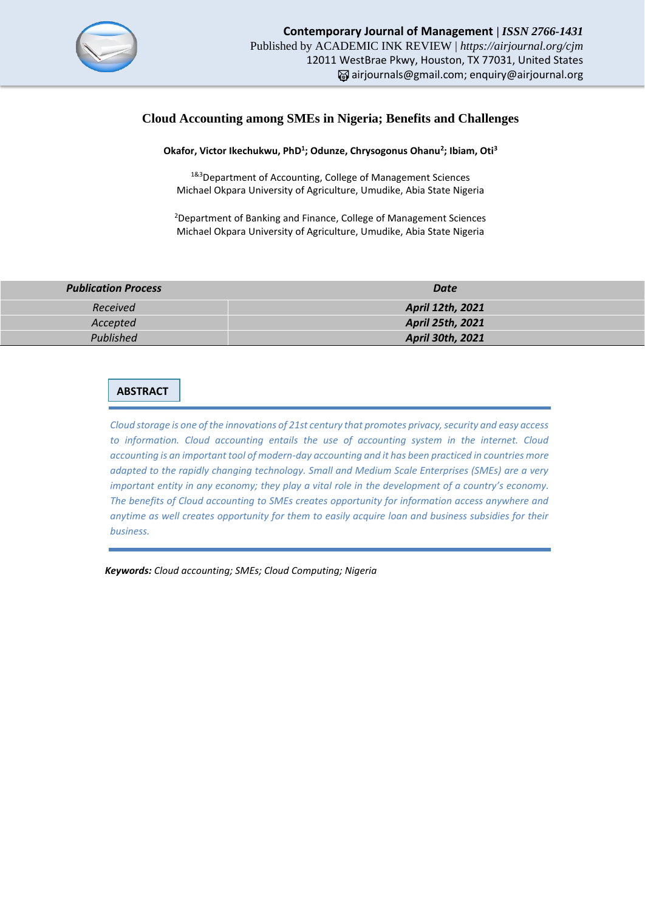

# **Cloud Accounting among SMEs in Nigeria; Benefits and Challenges**

## **Okafor, Victor Ikechukwu, PhD<sup>1</sup> ; Odunze, Chrysogonus Ohanu<sup>2</sup> ; Ibiam, Oti<sup>3</sup>**

1&3 Department of Accounting, College of Management Sciences Michael Okpara University of Agriculture, Umudike, Abia State Nigeria

<sup>2</sup>Department of Banking and Finance, College of Management Sciences Michael Okpara University of Agriculture, Umudike, Abia State Nigeria

| <b>Publication Process</b> | Date             |  |
|----------------------------|------------------|--|
| Received                   | April 12th, 2021 |  |
| Accepted                   | April 25th, 2021 |  |
| Published                  | April 30th, 2021 |  |

# **ABSTRACT**

*Cloud storage is one of the innovations of 21st century that promotes privacy, security and easy access to information. Cloud accounting entails the use of accounting system in the internet. Cloud accounting is an important tool of modern-day accounting and it has been practiced in countries more adapted to the rapidly changing technology. Small and Medium Scale Enterprises (SMEs) are a very important entity in any economy; they play a vital role in the development of a country's economy. The benefits of Cloud accounting to SMEs creates opportunity for information access anywhere and anytime as well creates opportunity for them to easily acquire loan and business subsidies for their business.*

 *Keywords: Cloud accounting; SMEs; Cloud Computing; Nigeria*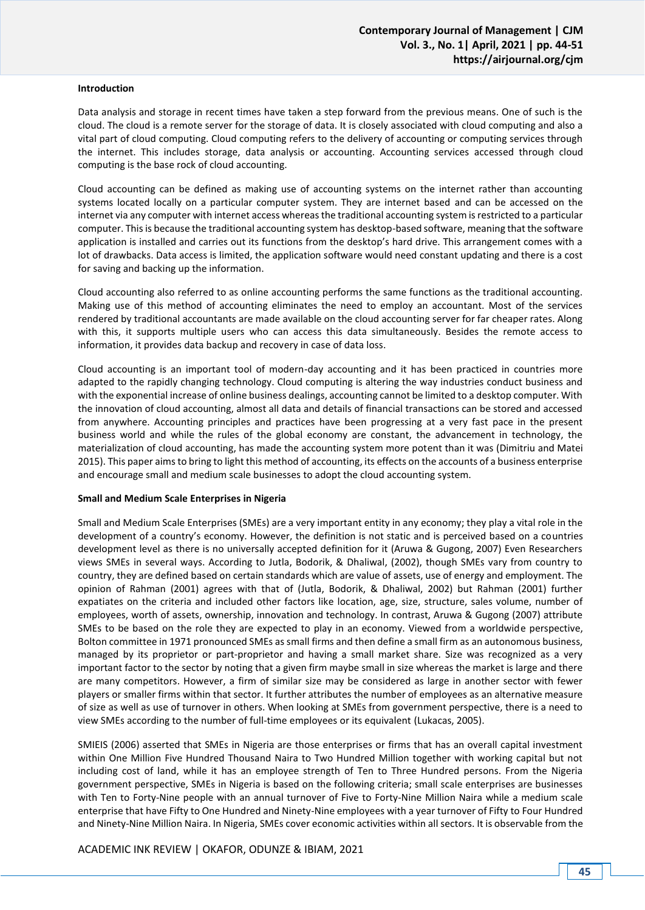#### **Introduction**

Data analysis and storage in recent times have taken a step forward from the previous means. One of such is the cloud. The cloud is a remote server for the storage of data. It is closely associated with cloud computing and also a vital part of cloud computing. Cloud computing refers to the delivery of accounting or computing services through the internet. This includes storage, data analysis or accounting. Accounting services accessed through cloud computing is the base rock of cloud accounting.

Cloud accounting can be defined as making use of accounting systems on the internet rather than accounting systems located locally on a particular computer system. They are internet based and can be accessed on the internet via any computer with internet access whereas the traditional accounting system is restricted to a particular computer. This is because the traditional accounting system has desktop-based software, meaning that the software application is installed and carries out its functions from the desktop's hard drive. This arrangement comes with a lot of drawbacks. Data access is limited, the application software would need constant updating and there is a cost for saving and backing up the information.

Cloud accounting also referred to as online accounting performs the same functions as the traditional accounting. Making use of this method of accounting eliminates the need to employ an accountant. Most of the services rendered by traditional accountants are made available on the cloud accounting server for far cheaper rates. Along with this, it supports multiple users who can access this data simultaneously. Besides the remote access to information, it provides data backup and recovery in case of data loss.

Cloud accounting is an important tool of modern-day accounting and it has been practiced in countries more adapted to the rapidly changing technology. Cloud computing is altering the way industries conduct business and with the exponential increase of online business dealings, accounting cannot be limited to a desktop computer. With the innovation of cloud accounting, almost all data and details of financial transactions can be stored and accessed from anywhere. Accounting principles and practices have been progressing at a very fast pace in the present business world and while the rules of the global economy are constant, the advancement in technology, the materialization of cloud accounting, has made the accounting system more potent than it was (Dimitriu and Matei 2015). This paper aims to bring to light this method of accounting, its effects on the accounts of a business enterprise and encourage small and medium scale businesses to adopt the cloud accounting system.

#### **Small and Medium Scale Enterprises in Nigeria**

Small and Medium Scale Enterprises (SMEs) are a very important entity in any economy; they play a vital role in the development of a country's economy. However, the definition is not static and is perceived based on a countries development level as there is no universally accepted definition for it (Aruwa & Gugong, 2007) Even Researchers views SMEs in several ways. According to Jutla, Bodorik, & Dhaliwal, (2002), though SMEs vary from country to country, they are defined based on certain standards which are value of assets, use of energy and employment. The opinion of Rahman (2001) agrees with that of (Jutla, Bodorik, & Dhaliwal, 2002) but Rahman (2001) further expatiates on the criteria and included other factors like location, age, size, structure, sales volume, number of employees, worth of assets, ownership, innovation and technology. In contrast, Aruwa & Gugong (2007) attribute SMEs to be based on the role they are expected to play in an economy. Viewed from a worldwide perspective, Bolton committee in 1971 pronounced SMEs as small firms and then define a small firm as an autonomous business, managed by its proprietor or part‐proprietor and having a small market share. Size was recognized as a very important factor to the sector by noting that a given firm maybe small in size whereas the market is large and there are many competitors. However, a firm of similar size may be considered as large in another sector with fewer players or smaller firms within that sector. It further attributes the number of employees as an alternative measure of size as well as use of turnover in others. When looking at SMEs from government perspective, there is a need to view SMEs according to the number of full‐time employees or its equivalent (Lukacas, 2005).

SMIEIS (2006) asserted that SMEs in Nigeria are those enterprises or firms that has an overall capital investment within One Million Five Hundred Thousand Naira to Two Hundred Million together with working capital but not including cost of land, while it has an employee strength of Ten to Three Hundred persons. From the Nigeria government perspective, SMEs in Nigeria is based on the following criteria; small scale enterprises are businesses with Ten to Forty-Nine people with an annual turnover of Five to Forty-Nine Million Naira while a medium scale enterprise that have Fifty to One Hundred and Ninety-Nine employees with a year turnover of Fifty to Four Hundred and Ninety-Nine Million Naira. In Nigeria, SMEs cover economic activities within all sectors. It is observable from the

ACADEMIC INK REVIEW | OKAFOR, ODUNZE & IBIAM, 2021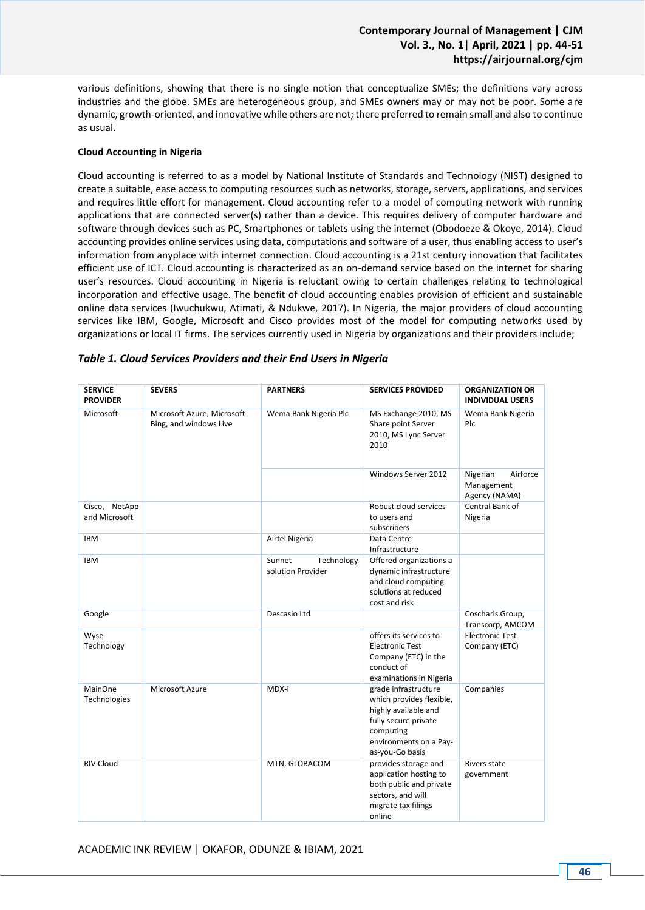various definitions, showing that there is no single notion that conceptualize SMEs; the definitions vary across industries and the globe. SMEs are heterogeneous group, and SMEs owners may or may not be poor. Some are dynamic, growth-oriented, and innovative while others are not; there preferred to remain small and also to continue as usual.

## **Cloud Accounting in Nigeria**

Cloud accounting is referred to as a model by National Institute of Standards and Technology (NIST) designed to create a suitable, ease access to computing resources such as networks, storage, servers, applications, and services and requires little effort for management. Cloud accounting refer to a model of computing network with running applications that are connected server(s) rather than a device. This requires delivery of computer hardware and software through devices such as PC, Smartphones or tablets using the internet (Obodoeze & Okoye, 2014). Cloud accounting provides online services using data, computations and software of a user, thus enabling access to user's information from anyplace with internet connection. Cloud accounting is a 21st century innovation that facilitates efficient use of ICT. Cloud accounting is characterized as an on-demand service based on the internet for sharing user's resources. Cloud accounting in Nigeria is reluctant owing to certain challenges relating to technological incorporation and effective usage. The benefit of cloud accounting enables provision of efficient and sustainable online data services (Iwuchukwu, Atimati, & Ndukwe, 2017). In Nigeria, the major providers of cloud accounting services like IBM, Google, Microsoft and Cisco provides most of the model for computing networks used by organizations or local IT firms. The services currently used in Nigeria by organizations and their providers include;

| <b>SERVICE</b><br><b>PROVIDER</b> | <b>SEVERS</b>                                        | <b>PARTNERS</b>                           | <b>SERVICES PROVIDED</b>                                                                                                                                   | <b>ORGANIZATION OR</b><br><b>INDIVIDUAL USERS</b>   |
|-----------------------------------|------------------------------------------------------|-------------------------------------------|------------------------------------------------------------------------------------------------------------------------------------------------------------|-----------------------------------------------------|
| Microsoft                         | Microsoft Azure, Microsoft<br>Bing, and windows Live | Wema Bank Nigeria Plc                     | MS Exchange 2010, MS<br>Share point Server<br>2010, MS Lync Server<br>2010                                                                                 | Wema Bank Nigeria<br>Plc                            |
|                                   |                                                      |                                           | Windows Server 2012                                                                                                                                        | Airforce<br>Nigerian<br>Management<br>Agency (NAMA) |
| Cisco, NetApp<br>and Microsoft    |                                                      |                                           | Robust cloud services<br>to users and                                                                                                                      | Central Bank of<br>Nigeria                          |
|                                   |                                                      |                                           | subscribers                                                                                                                                                |                                                     |
| <b>IBM</b>                        |                                                      | Airtel Nigeria                            | Data Centre<br>Infrastructure                                                                                                                              |                                                     |
| <b>IBM</b>                        |                                                      | Sunnet<br>Technology<br>solution Provider | Offered organizations a<br>dynamic infrastructure<br>and cloud computing<br>solutions at reduced<br>cost and risk                                          |                                                     |
| Google                            |                                                      | Descasio Ltd                              |                                                                                                                                                            | Coscharis Group,<br>Transcorp, AMCOM                |
| Wyse<br>Technology                |                                                      |                                           | offers its services to<br><b>Electronic Test</b><br>Company (ETC) in the<br>conduct of<br>examinations in Nigeria                                          | <b>Electronic Test</b><br>Company (ETC)             |
| <b>MainOne</b><br>Technologies    | Microsoft Azure                                      | MDX-i                                     | grade infrastructure<br>which provides flexible,<br>highly available and<br>fully secure private<br>computing<br>environments on a Pay-<br>as-you-Go basis | Companies                                           |
| <b>RIV Cloud</b>                  |                                                      | MTN, GLOBACOM                             | provides storage and<br>application hosting to<br>both public and private<br>sectors, and will<br>migrate tax filings<br>online                            | Rivers state<br>government                          |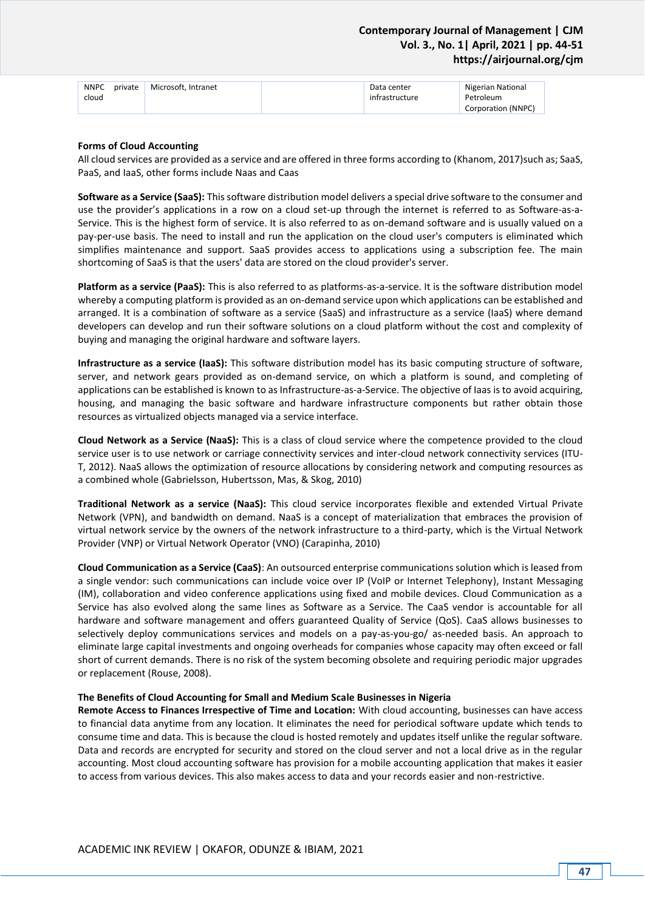| <b>NNPC</b> | private | Microsoft. Intranet | Data center    | Nigerian National  |
|-------------|---------|---------------------|----------------|--------------------|
| cloud       |         |                     | infrastructure | Petroleum          |
|             |         |                     |                | Corporation (NNPC) |

### **Forms of Cloud Accounting**

All cloud services are provided as a service and are offered in three forms according to (Khanom, 2017)such as; SaaS, PaaS, and IaaS, other forms include Naas and Caas

**Software as a Service (SaaS):** This software distribution model delivers a special drive software to the consumer and use the provider's applications in a row on a cloud set-up through the internet is referred to as Software-as-a-Service. This is the highest form of service. It is also referred to as on-demand software and is usually valued on a pay-per-use basis. The need to install and run the application on the cloud user's computers is eliminated which simplifies maintenance and support. SaaS provides access to applications using a subscription fee. The main shortcoming of SaaS is that the users' data are stored on the cloud provider's server.

**Platform as a service (PaaS):** This is also referred to as platforms-as-a-service. It is the software distribution model whereby a computing platform is provided as an on-demand service upon which applications can be established and arranged. It is a combination of software as a service (SaaS) and infrastructure as a service (IaaS) where demand developers can develop and run their software solutions on a cloud platform without the cost and complexity of buying and managing the original hardware and software layers.

**Infrastructure as a service (IaaS):** This software distribution model has its basic computing structure of software, server, and network gears provided as on-demand service, on which a platform is sound, and completing of applications can be established is known to as Infrastructure-as-a-Service. The objective of Iaas is to avoid acquiring, housing, and managing the basic software and hardware infrastructure components but rather obtain those resources as virtualized objects managed via a service interface.

**Cloud Network as a Service (NaaS):** This is a class of cloud service where the competence provided to the cloud service user is to use network or carriage connectivity services and inter-cloud network connectivity services (ITU-T, 2012). NaaS allows the optimization of resource allocations by considering network and computing resources as a combined whole (Gabrielsson, Hubertsson, Mas, & Skog, 2010)

**Traditional Network as a service (NaaS):** This cloud service incorporates flexible and extended Virtual Private Network (VPN), and bandwidth on demand. NaaS is a concept of materialization that embraces the provision of virtual network service by the owners of the network infrastructure to a third-party, which is the Virtual Network Provider (VNP) or Virtual Network Operator (VNO) (Carapinha, 2010)

**Cloud Communication as a Service (CaaS)**: An outsourced enterprise communications solution which is leased from a single vendor: such communications can include voice over IP (VoIP or Internet Telephony), Instant Messaging (IM), collaboration and video conference applications using fixed and mobile devices. Cloud Communication as a Service has also evolved along the same lines as Software as a Service. The CaaS vendor is accountable for all hardware and software management and offers guaranteed Quality of Service (QoS). CaaS allows businesses to selectively deploy communications services and models on a pay-as-you-go/ as-needed basis. An approach to eliminate large capital investments and ongoing overheads for companies whose capacity may often exceed or fall short of current demands. There is no risk of the system becoming obsolete and requiring periodic major upgrades or replacement (Rouse, 2008).

#### **The Benefits of Cloud Accounting for Small and Medium Scale Businesses in Nigeria**

**Remote Access to Finances Irrespective of Time and Location:** With cloud accounting, businesses can have access to financial data anytime from any location. It eliminates the need for periodical software update which tends to consume time and data. This is because the cloud is hosted remotely and updates itself unlike the regular software. Data and records are encrypted for security and stored on the cloud server and not a local drive as in the regular accounting. Most cloud accounting software has provision for a mobile accounting application that makes it easier to access from various devices. This also makes access to data and your records easier and non-restrictive.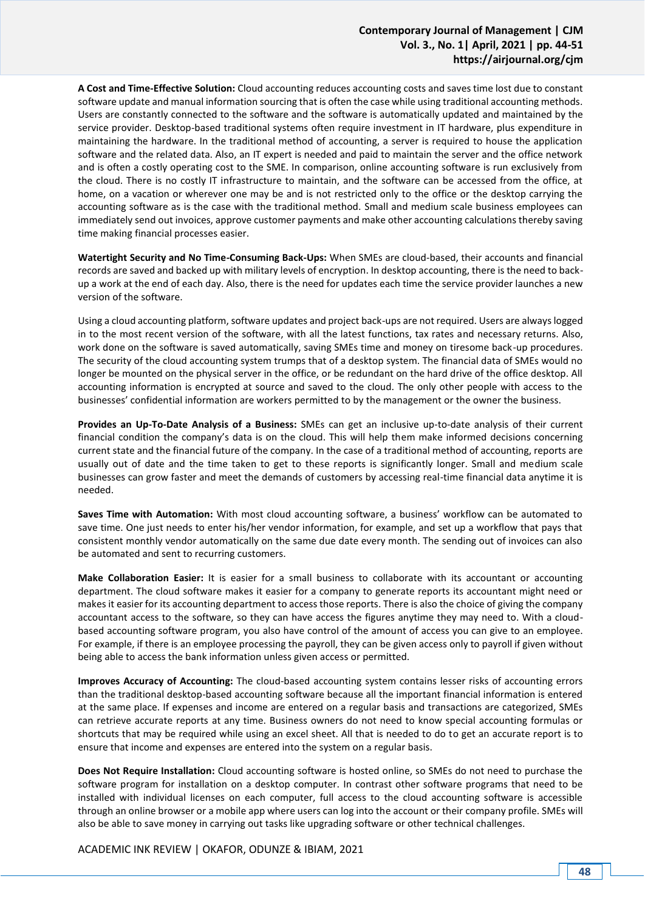**A Cost and Time-Effective Solution:** Cloud accounting reduces accounting costs and saves time lost due to constant software update and manual information sourcing that is often the case while using traditional accounting methods. Users are constantly connected to the software and the software is automatically updated and maintained by the service provider. Desktop-based traditional systems often require investment in IT hardware, plus expenditure in maintaining the hardware. In the traditional method of accounting, a server is required to house the application software and the related data. Also, an IT expert is needed and paid to maintain the server and the office network and is often a costly operating cost to the SME. In comparison, online accounting software is run exclusively from the cloud. There is no costly IT infrastructure to maintain, and the software can be accessed from the office, at home, on a vacation or wherever one may be and is not restricted only to the office or the desktop carrying the accounting software as is the case with the traditional method. Small and medium scale business employees can immediately send out invoices, approve customer payments and make other accounting calculations thereby saving time making financial processes easier.

**Watertight Security and No Time-Consuming Back-Ups:** When SMEs are cloud-based, their accounts and financial records are saved and backed up with military levels of encryption. In desktop accounting, there is the need to backup a work at the end of each day. Also, there is the need for updates each time the service provider launches a new version of the software.

Using a cloud accounting platform, software updates and project back-ups are not required. Users are always logged in to the most recent version of the software, with all the latest functions, tax rates and necessary returns. Also, work done on the software is saved automatically, saving SMEs time and money on tiresome back-up procedures. The security of the cloud accounting system trumps that of a desktop system. The financial data of SMEs would no longer be mounted on the physical server in the office, or be redundant on the hard drive of the office desktop. All accounting information is encrypted at source and saved to the cloud. The only other people with access to the businesses' confidential information are workers permitted to by the management or the owner the business.

**Provides an Up-To-Date Analysis of a Business:** SMEs can get an inclusive up-to-date analysis of their current financial condition the company's data is on the cloud. This will help them make informed decisions concerning current state and the financial future of the company. In the case of a traditional method of accounting, reports are usually out of date and the time taken to get to these reports is significantly longer. Small and medium scale businesses can grow faster and meet the demands of customers by accessing real-time financial data anytime it is needed.

**Saves Time with Automation:** With most cloud accounting software, a business' workflow can be automated to save time. One just needs to enter his/her vendor information, for example, and set up a workflow that pays that consistent monthly vendor automatically on the same due date every month. The sending out of invoices can also be automated and sent to recurring customers.

**Make Collaboration Easier:** It is easier for a small business to collaborate with its accountant or accounting department. The cloud software makes it easier for a company to generate reports its accountant might need or makes it easier for its accounting department to access those reports. There is also the choice of giving the company accountant access to the software, so they can have access the figures anytime they may need to. With a cloudbased accounting software program, you also have control of the amount of access you can give to an employee. For example, if there is an employee processing the payroll, they can be given access only to payroll if given without being able to access the bank information unless given access or permitted.

**Improves Accuracy of Accounting:** The cloud-based accounting system contains lesser risks of accounting errors than the traditional desktop-based accounting software because all the important financial information is entered at the same place. If expenses and income are entered on a regular basis and transactions are categorized, SMEs can retrieve accurate reports at any time. Business owners do not need to know special accounting formulas or shortcuts that may be required while using an excel sheet. All that is needed to do to get an accurate report is to ensure that income and expenses are entered into the system on a regular basis.

**Does Not Require Installation:** Cloud accounting software is hosted online, so SMEs do not need to purchase the software program for installation on a desktop computer. In contrast other software programs that need to be installed with individual licenses on each computer, full access to the cloud accounting software is accessible through an online browser or a mobile app where users can log into the account or their company profile. SMEs will also be able to save money in carrying out tasks like upgrading software or other technical challenges.

ACADEMIC INK REVIEW | OKAFOR, ODUNZE & IBIAM, 2021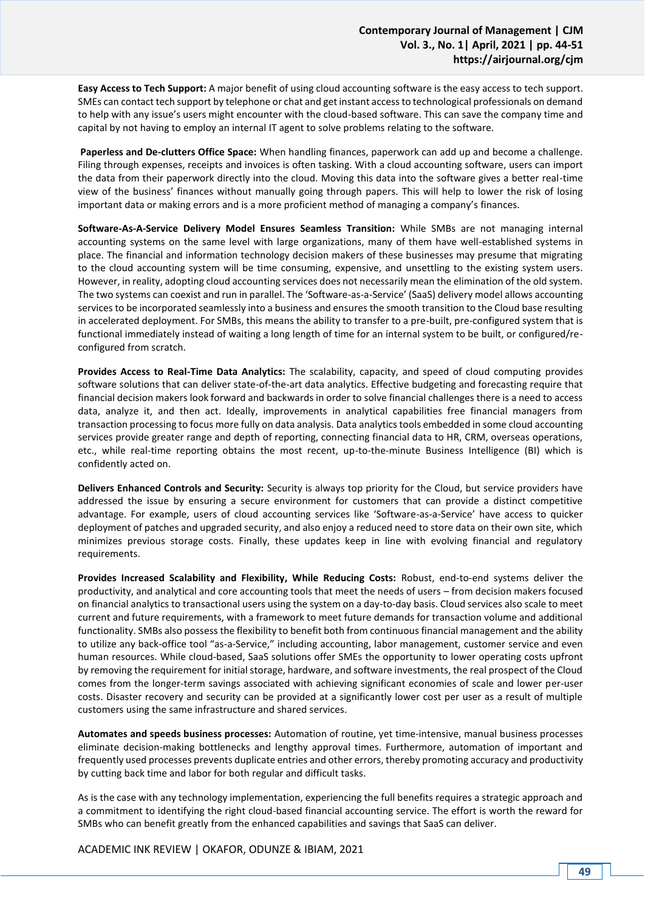**Easy Access to Tech Support:** A major benefit of using cloud accounting software is the easy access to tech support. SMEs can contact tech support by telephone or chat and get instant access to technological professionals on demand to help with any issue's users might encounter with the cloud-based software. This can save the company time and capital by not having to employ an internal IT agent to solve problems relating to the software.

**Paperless and De-clutters Office Space:** When handling finances, paperwork can add up and become a challenge. Filing through expenses, receipts and invoices is often tasking. With a cloud accounting software, users can import the data from their paperwork directly into the cloud. Moving this data into the software gives a better real-time view of the business' finances without manually going through papers. This will help to lower the risk of losing important data or making errors and is a more proficient method of managing a company's finances.

**Software-As-A-Service Delivery Model Ensures Seamless Transition:** While SMBs are not managing internal accounting systems on the same level with large organizations, many of them have well-established systems in place. The financial and information technology decision makers of these businesses may presume that migrating to the cloud accounting system will be time consuming, expensive, and unsettling to the existing system users. However, in reality, adopting cloud accounting services does not necessarily mean the elimination of the old system. The two systems can coexist and run in parallel. The 'Software-as-a-Service' (SaaS) delivery model allows accounting services to be incorporated seamlessly into a business and ensures the smooth transition to the Cloud base resulting in accelerated deployment. For SMBs, this means the ability to transfer to a pre-built, pre-configured system that is functional immediately instead of waiting a long length of time for an internal system to be built, or configured/reconfigured from scratch.

**Provides Access to Real-Time Data Analytics:** The scalability, capacity, and speed of cloud computing provides software solutions that can deliver state-of-the-art data analytics. Effective budgeting and forecasting require that financial decision makers look forward and backwards in order to solve financial challenges there is a need to access data, analyze it, and then act. Ideally, improvements in analytical capabilities free financial managers from transaction processing to focus more fully on data analysis. Data analytics tools embedded in some cloud accounting services provide greater range and depth of reporting, connecting financial data to HR, CRM, overseas operations, etc., while real-time reporting obtains the most recent, up-to-the-minute Business Intelligence (BI) which is confidently acted on.

**Delivers Enhanced Controls and Security:** Security is always top priority for the Cloud, but service providers have addressed the issue by ensuring a secure environment for customers that can provide a distinct competitive advantage. For example, users of cloud accounting services like 'Software-as-a-Service' have access to quicker deployment of patches and upgraded security, and also enjoy a reduced need to store data on their own site, which minimizes previous storage costs. Finally, these updates keep in line with evolving financial and regulatory requirements.

**Provides Increased Scalability and Flexibility, While Reducing Costs:** Robust, end-to-end systems deliver the productivity, and analytical and core accounting tools that meet the needs of users – from decision makers focused on financial analytics to transactional users using the system on a day-to-day basis. Cloud services also scale to meet current and future requirements, with a framework to meet future demands for transaction volume and additional functionality. SMBs also possess the flexibility to benefit both from continuous financial management and the ability to utilize any back-office tool "as-a-Service," including accounting, labor management, customer service and even human resources. While cloud-based, SaaS solutions offer SMEs the opportunity to lower operating costs upfront by removing the requirement for initial storage, hardware, and software investments, the real prospect of the Cloud comes from the longer-term savings associated with achieving significant economies of scale and lower per-user costs. Disaster recovery and security can be provided at a significantly lower cost per user as a result of multiple customers using the same infrastructure and shared services.

**Automates and speeds business processes:** Automation of routine, yet time-intensive, manual business processes eliminate decision-making bottlenecks and lengthy approval times. Furthermore, automation of important and frequently used processes prevents duplicate entries and other errors, thereby promoting accuracy and productivity by cutting back time and labor for both regular and difficult tasks.

As is the case with any technology implementation, experiencing the full benefits requires a strategic approach and a commitment to identifying the right cloud-based financial accounting service. The effort is worth the reward for SMBs who can benefit greatly from the enhanced capabilities and savings that SaaS can deliver.

ACADEMIC INK REVIEW | OKAFOR, ODUNZE & IBIAM, 2021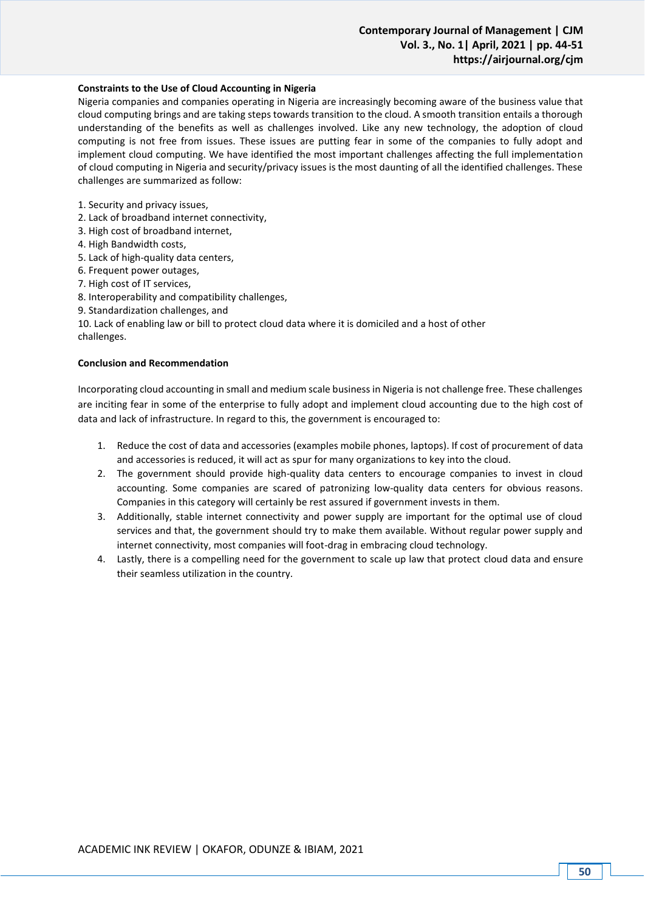## **Constraints to the Use of Cloud Accounting in Nigeria**

Nigeria companies and companies operating in Nigeria are increasingly becoming aware of the business value that cloud computing brings and are taking steps towards transition to the cloud. A smooth transition entails a thorough understanding of the benefits as well as challenges involved. Like any new technology, the adoption of cloud computing is not free from issues. These issues are putting fear in some of the companies to fully adopt and implement cloud computing. We have identified the most important challenges affecting the full implementation of cloud computing in Nigeria and security/privacy issues is the most daunting of all the identified challenges. These challenges are summarized as follow:

1. Security and privacy issues,

- 2. Lack of broadband internet connectivity,
- 3. High cost of broadband internet,
- 4. High Bandwidth costs,
- 5. Lack of high-quality data centers,
- 6. Frequent power outages,
- 7. High cost of IT services,
- 8. Interoperability and compatibility challenges,
- 9. Standardization challenges, and

10. Lack of enabling law or bill to protect cloud data where it is domiciled and a host of other challenges.

### **Conclusion and Recommendation**

Incorporating cloud accounting in small and medium scale business in Nigeria is not challenge free. These challenges are inciting fear in some of the enterprise to fully adopt and implement cloud accounting due to the high cost of data and lack of infrastructure. In regard to this, the government is encouraged to:

- 1. Reduce the cost of data and accessories (examples mobile phones, laptops). If cost of procurement of data and accessories is reduced, it will act as spur for many organizations to key into the cloud.
- 2. The government should provide high-quality data centers to encourage companies to invest in cloud accounting. Some companies are scared of patronizing low-quality data centers for obvious reasons. Companies in this category will certainly be rest assured if government invests in them.
- 3. Additionally, stable internet connectivity and power supply are important for the optimal use of cloud services and that, the government should try to make them available. Without regular power supply and internet connectivity, most companies will foot-drag in embracing cloud technology.
- 4. Lastly, there is a compelling need for the government to scale up law that protect cloud data and ensure their seamless utilization in the country.